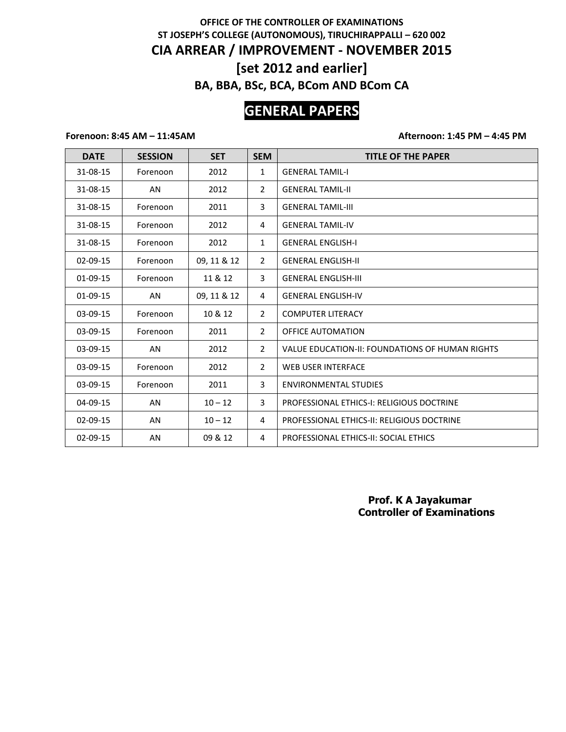## **OFFICE OF THE CONTROLLER OF EXAMINATIONS ST JOSEPH'S COLLEGE (AUTONOMOUS), TIRUCHIRAPPALLI – 620 002 CIA ARREAR / IMPROVEMENT - NOVEMBER 2015 [set 2012 and earlier] BA, BBA, BSc, BCA, BCom AND BCom CA**

# **GENERAL PAPERS**

### **Forenoon: 8:45 AM – 11:45AM Afternoon: 1:45 PM – 4:45 PM**

| <b>DATE</b>    | <b>SESSION</b> | <b>SET</b>  | <b>SEM</b>     | <b>TITLE OF THE PAPER</b>                         |
|----------------|----------------|-------------|----------------|---------------------------------------------------|
| 31-08-15       | Forenoon       | 2012        | $\mathbf{1}$   | <b>GENERAL TAMIL-I</b>                            |
| 31-08-15       | AN             | 2012        | $\overline{2}$ | <b>GENERAL TAMIL-II</b>                           |
| 31-08-15       | Forenoon       | 2011        | 3              | <b>GENERAL TAMIL-III</b>                          |
| 31-08-15       | Forenoon       | 2012        | 4              | <b>GENERAL TAMIL-IV</b>                           |
| 31-08-15       | Forenoon       | 2012        | $\mathbf{1}$   | <b>GENERAL ENGLISH-I</b>                          |
| 02-09-15       | Forenoon       | 09, 11 & 12 | $\overline{2}$ | <b>GENERAL ENGLISH-II</b>                         |
| 01-09-15       | Forenoon       | 11 & 12     | 3              | <b>GENERAL ENGLISH-III</b>                        |
| 01-09-15       | AN             | 09, 11 & 12 | 4              | <b>GENERAL ENGLISH-IV</b>                         |
| 03-09-15       | Forenoon       | 10 & 12     | $\overline{2}$ | <b>COMPUTER LITERACY</b>                          |
| 03-09-15       | Forenoon       | 2011        | $\overline{2}$ | <b>OFFICE AUTOMATION</b>                          |
| 03-09-15       | AN             | 2012        | $\overline{2}$ | VALUE EDUCATION-II: FOUNDATIONS OF HUMAN RIGHTS   |
| $03-09-15$     | Forenoon       | 2012        | $\overline{2}$ | <b>WEB USER INTERFACE</b>                         |
| 03-09-15       | Forenoon       | 2011        | 3              | <b>ENVIRONMENTAL STUDIES</b>                      |
| 04-09-15       | AN             | $10 - 12$   | 3              | <b>PROFESSIONAL ETHICS-I: RELIGIOUS DOCTRINE</b>  |
| 02-09-15       | AN             | $10 - 12$   | 4              | <b>PROFESSIONAL ETHICS-II: RELIGIOUS DOCTRINE</b> |
| $02 - 09 - 15$ | AN             | 09 & 12     | 4              | PROFESSIONAL ETHICS-II: SOCIAL ETHICS             |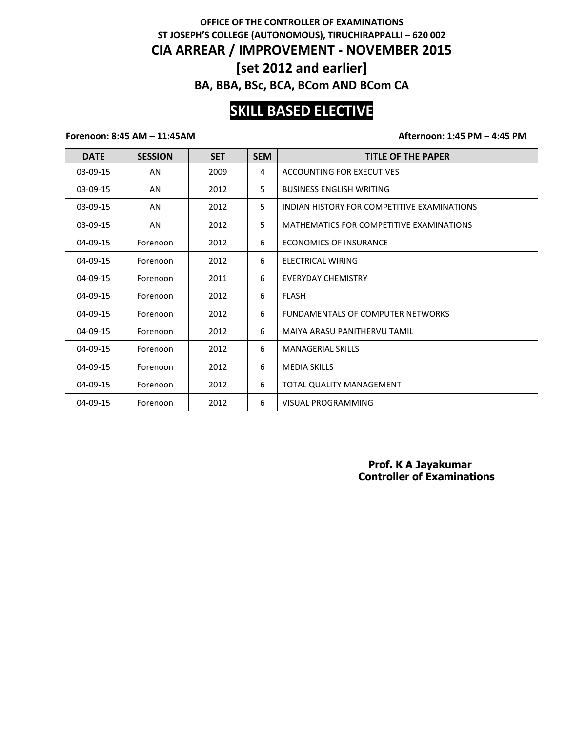## **OFFICE OF THE CONTROLLER OF EXAMINATIONS ST JOSEPH'S COLLEGE (AUTONOMOUS), TIRUCHIRAPPALLI – 620 002 CIA ARREAR / IMPROVEMENT - NOVEMBER 2015 [set 2012 and earlier] BA, BBA, BSc, BCA, BCom AND BCom CA**

# **SKILL BASED ELECTIVE**

### **Forenoon: 8:45 AM – 11:45AM Afternoon: 1:45 PM – 4:45 PM**

| <b>DATE</b>    | <b>SESSION</b> | <b>SET</b> | <b>SEM</b> | <b>TITLE OF THE PAPER</b>                   |
|----------------|----------------|------------|------------|---------------------------------------------|
| $03-09-15$     | AN             | 2009       | 4          | ACCOUNTING FOR EXECUTIVES                   |
| 03-09-15       | AN             | 2012       | 5.         | <b>BUSINESS ENGLISH WRITING</b>             |
| 03-09-15       | AN             | 2012       | 5          | INDIAN HISTORY FOR COMPETITIVE EXAMINATIONS |
| 03-09-15       | AN             | 2012       | 5.         | MATHEMATICS FOR COMPETITIVE EXAMINATIONS    |
| 04-09-15       | Forenoon       | 2012       | 6          | <b>ECONOMICS OF INSURANCE</b>               |
| $04 - 09 - 15$ | Forenoon       | 2012       | 6          | ELECTRICAL WIRING                           |
| $04 - 09 - 15$ | Forenoon       | 2011       | 6          | EVERYDAY CHEMISTRY                          |
| 04-09-15       | Forenoon       | 2012       | 6          | <b>FLASH</b>                                |
| 04-09-15       | Forenoon       | 2012       | 6          | <b>FUNDAMENTALS OF COMPUTER NETWORKS</b>    |
| $04 - 09 - 15$ | Forenoon       | 2012       | 6          | MAIYA ARASU PANITHERVU TAMIL                |
| $04 - 09 - 15$ | Forenoon       | 2012       | 6          | <b>MANAGERIAL SKILLS</b>                    |
| $04 - 09 - 15$ | Forenoon       | 2012       | 6          | <b>MEDIA SKILLS</b>                         |
| $04 - 09 - 15$ | Forenoon       | 2012       | 6          | TOTAL QUALITY MANAGEMENT                    |
| 04-09-15       | Forenoon       | 2012       | 6          | <b>VISUAL PROGRAMMING</b>                   |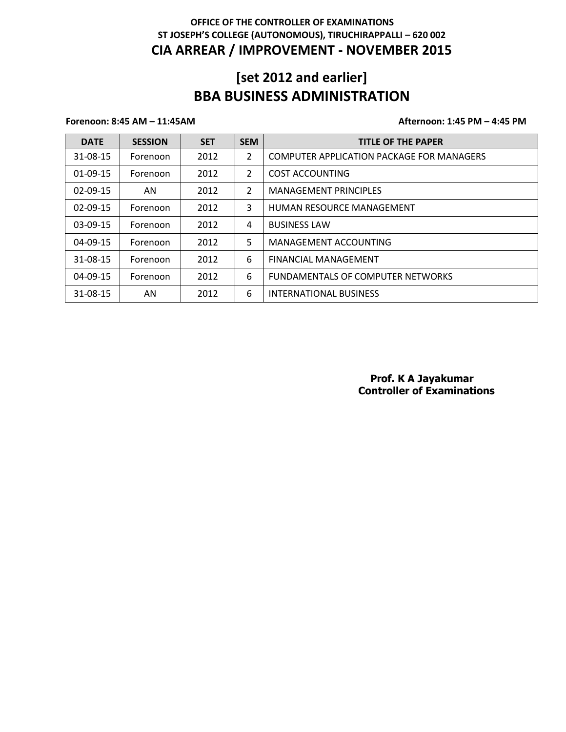## **[set 2012 and earlier] BBA BUSINESS ADMINISTRATION**

### **Forenoon: 8:45 AM – 11:45AM Afternoon: 1:45 PM – 4:45 PM**

| <b>DATE</b>    | <b>SESSION</b> | <b>SET</b> | <b>SEM</b>     | <b>TITLE OF THE PAPER</b>                        |
|----------------|----------------|------------|----------------|--------------------------------------------------|
| 31-08-15       | Forenoon       | 2012       | $\overline{2}$ | <b>COMPUTER APPLICATION PACKAGE FOR MANAGERS</b> |
| $01-09-15$     | Forenoon       | 2012       | 2              | COST ACCOUNTING                                  |
| 02-09-15       | AN.            | 2012       | $\overline{2}$ | <b>MANAGEMENT PRINCIPLES</b>                     |
| $02 - 09 - 15$ | Forenoon       | 2012       | 3              | <b>HUMAN RESOURCE MANAGEMENT</b>                 |
| $03-09-15$     | Forenoon       | 2012       | 4              | <b>BUSINESS LAW</b>                              |
| $04 - 09 - 15$ | Forenoon       | 2012       | 5              | MANAGEMENT ACCOUNTING                            |
| 31-08-15       | Forenoon       | 2012       | 6              | <b>FINANCIAL MANAGEMENT</b>                      |
| $04 - 09 - 15$ | Forenoon       | 2012       | 6              | <b>FUNDAMENTALS OF COMPUTER NETWORKS</b>         |
| 31-08-15       | AN             | 2012       | 6              | INTERNATIONAL BUSINESS                           |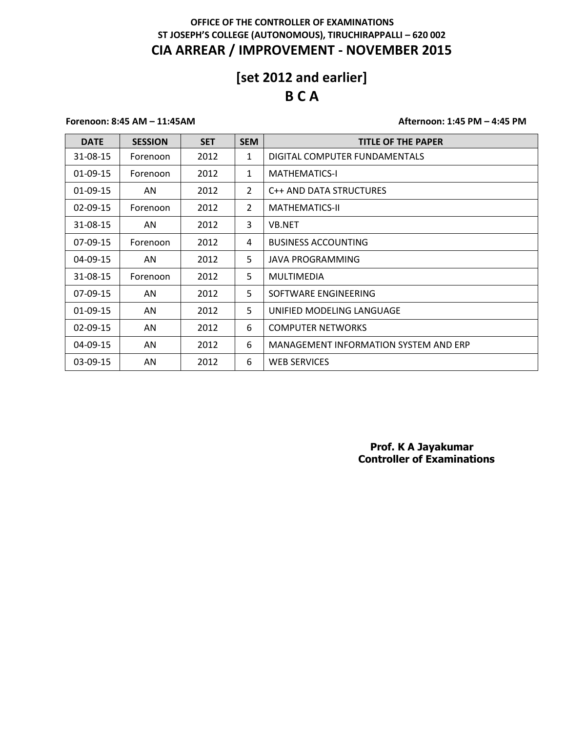# **[set 2012 and earlier] B C A**

### **Forenoon: 8:45 AM – 11:45AM Afternoon: 1:45 PM – 4:45 PM**

| <b>DATE</b>    | <b>SESSION</b> | <b>SET</b> | <b>SEM</b>     | <b>TITLE OF THE PAPER</b>             |
|----------------|----------------|------------|----------------|---------------------------------------|
| 31-08-15       | Forenoon       | 2012       | 1              | DIGITAL COMPUTER FUNDAMENTALS         |
| 01-09-15       | Forenoon       | 2012       | $\mathbf{1}$   | <b>MATHEMATICS-I</b>                  |
| $01-09-15$     | AN.            | 2012       | $\overline{2}$ | C++ AND DATA STRUCTURES               |
| $02 - 09 - 15$ | Forenoon       | 2012       | $\overline{2}$ | <b>MATHEMATICS-II</b>                 |
| 31-08-15       | AN.            | 2012       | 3              | <b>VB.NET</b>                         |
| $07-09-15$     | Forenoon       | 2012       | 4              | <b>BUSINESS ACCOUNTING</b>            |
| 04-09-15       | AN             | 2012       | 5              | JAVA PROGRAMMING                      |
| 31-08-15       | Forenoon       | 2012       | 5              | <b>MULTIMEDIA</b>                     |
| $07-09-15$     | AN             | 2012       | 5.             | SOFTWARE ENGINEERING                  |
| 01-09-15       | AN             | 2012       | 5              | UNIFIED MODELING LANGUAGE             |
| $02-09-15$     | AN.            | 2012       | 6              | <b>COMPUTER NETWORKS</b>              |
| 04-09-15       | AN             | 2012       | 6              | MANAGEMENT INFORMATION SYSTEM AND ERP |
| 03-09-15       | AN             | 2012       | 6              | <b>WEB SERVICES</b>                   |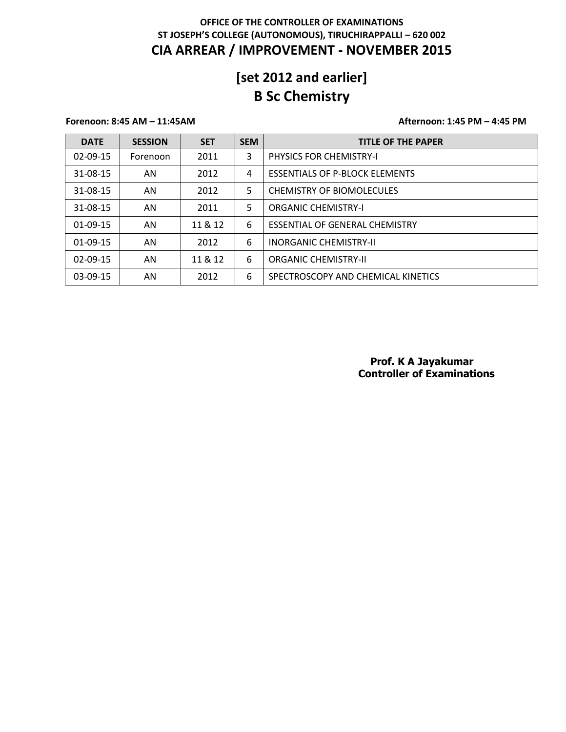# **[set 2012 and earlier] B Sc Chemistry**

### **Forenoon: 8:45 AM – 11:45AM Afternoon: 1:45 PM – 4:45 PM**

| <b>DATE</b>    | <b>SESSION</b> | <b>SET</b> | <b>SEM</b> | <b>TITLE OF THE PAPER</b>             |
|----------------|----------------|------------|------------|---------------------------------------|
| $02 - 09 - 15$ | Forenoon       | 2011       | 3          | <b>PHYSICS FOR CHEMISTRY-I</b>        |
| 31-08-15       | AN             | 2012       | 4          | <b>ESSENTIALS OF P-BLOCK ELEMENTS</b> |
| 31-08-15       | AN             | 2012       | 5          | <b>CHEMISTRY OF BIOMOLECULES</b>      |
| 31-08-15       | AN.            | 2011       | 5          | <b>ORGANIC CHEMISTRY-I</b>            |
| 01-09-15       | AN             | 11 & 12    | 6          | ESSENTIAL OF GENERAL CHEMISTRY        |
| $01-09-15$     | AN             | 2012       | 6          | <b>INORGANIC CHEMISTRY-II</b>         |
| $02-09-15$     | AN             | 11 & 12    | 6          | <b>ORGANIC CHEMISTRY-II</b>           |
| 03-09-15       | AN             | 2012       | 6          | SPECTROSCOPY AND CHEMICAL KINETICS    |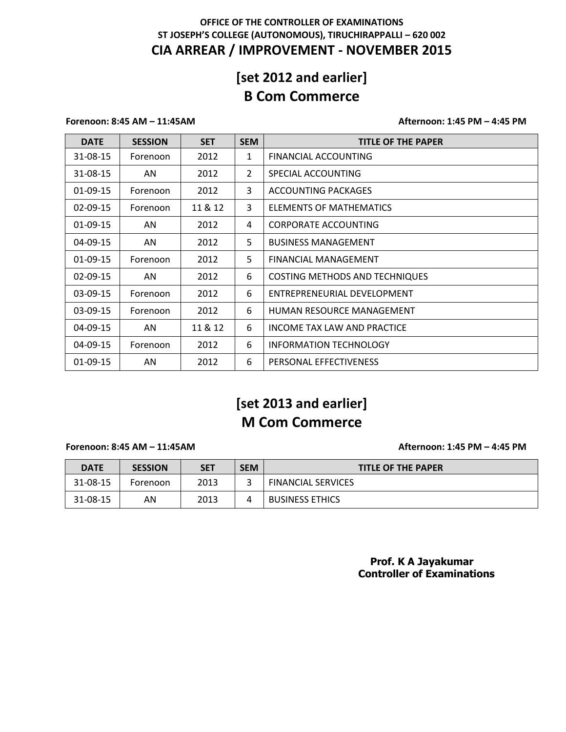# **[set 2012 and earlier] B Com Commerce**

### **Forenoon: 8:45 AM – 11:45AM Afternoon: 1:45 PM – 4:45 PM**

| <b>DATE</b>    | <b>SESSION</b> | <b>SET</b> | <b>SEM</b>     | <b>TITLE OF THE PAPER</b>             |
|----------------|----------------|------------|----------------|---------------------------------------|
| 31-08-15       | Forenoon       | 2012       | 1              | FINANCIAL ACCOUNTING                  |
| 31-08-15       | AN             | 2012       | $\overline{2}$ | SPECIAL ACCOUNTING                    |
| 01-09-15       | Forenoon       | 2012       | 3              | <b>ACCOUNTING PACKAGES</b>            |
| 02-09-15       | Forenoon       | 11 & 12    | 3              | ELEMENTS OF MATHEMATICS               |
| 01-09-15       | AN             | 2012       | 4              | <b>CORPORATE ACCOUNTING</b>           |
| 04-09-15       | AN             | 2012       | 5              | <b>BUSINESS MANAGEMENT</b>            |
| $01-09-15$     | Forenoon       | 2012       | 5              | <b>FINANCIAL MANAGEMENT</b>           |
| $02 - 09 - 15$ | AN.            | 2012       | 6              | <b>COSTING METHODS AND TECHNIQUES</b> |
| 03-09-15       | Forenoon       | 2012       | 6              | ENTREPRENEURIAL DEVELOPMENT           |
| 03-09-15       | Forenoon       | 2012       | 6              | HUMAN RESOURCE MANAGEMENT             |
| 04-09-15       | AN             | 11 & 12    | 6              | INCOME TAX LAW AND PRACTICE           |
| 04-09-15       | Forenoon       | 2012       | 6              | <b>INFORMATION TECHNOLOGY</b>         |
| 01-09-15       | AN             | 2012       | 6              | PERSONAL EFFECTIVENESS                |

# **[set 2013 and earlier] M Com Commerce**

**Forenoon: 8:45 AM – 11:45AM Afternoon: 1:45 PM – 4:45 PM**

| <b>DATE</b> | <b>SESSION</b> | <b>SET</b> | <b>SEM</b> | <b>TITLE OF THE PAPER</b> |
|-------------|----------------|------------|------------|---------------------------|
| 31-08-15    | Forenoon       | 2013       |            | <b>FINANCIAL SERVICES</b> |
| 31-08-15    | AN             | 2013       |            | <b>BUSINESS ETHICS</b>    |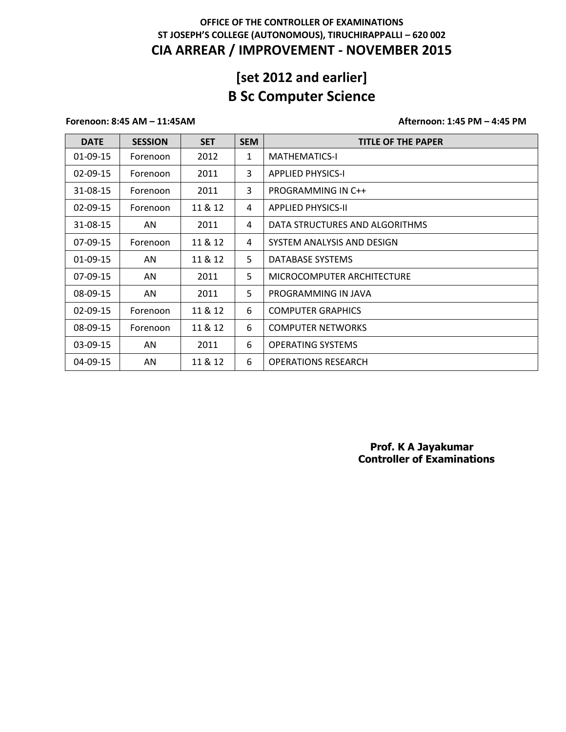# **[set 2012 and earlier] B Sc Computer Science**

### **Forenoon: 8:45 AM – 11:45AM Afternoon: 1:45 PM – 4:45 PM**

| <b>DATE</b>    | <b>SESSION</b> | <b>SET</b> | <b>SEM</b> | <b>TITLE OF THE PAPER</b>      |
|----------------|----------------|------------|------------|--------------------------------|
| 01-09-15       | Forenoon       | 2012       | 1          | <b>MATHEMATICS-I</b>           |
| $02 - 09 - 15$ | Forenoon       | 2011       | 3          | <b>APPLIED PHYSICS-I</b>       |
| 31-08-15       | Forenoon       | 2011       | 3          | PROGRAMMING IN C++             |
| $02 - 09 - 15$ | Forenoon       | 11 & 12    | 4          | <b>APPLIED PHYSICS-II</b>      |
| 31-08-15       | AN.            | 2011       | 4          | DATA STRUCTURES AND ALGORITHMS |
| 07-09-15       | Forenoon       | 11 & 12    | 4          | SYSTEM ANALYSIS AND DESIGN     |
| 01-09-15       | AN             | 11 & 12    | 5.         | DATABASE SYSTEMS               |
| 07-09-15       | AN             | 2011       | 5          | MICROCOMPUTER ARCHITECTURE     |
| 08-09-15       | AN             | 2011       | 5          | PROGRAMMING IN JAVA            |
| $02 - 09 - 15$ | Forenoon       | 11 & 12    | 6          | <b>COMPUTER GRAPHICS</b>       |
| 08-09-15       | Forenoon       | 11 & 12    | 6          | <b>COMPUTER NETWORKS</b>       |
| 03-09-15       | AN             | 2011       | 6          | <b>OPERATING SYSTEMS</b>       |
| 04-09-15       | AN             | 11 & 12    | 6          | <b>OPERATIONS RESEARCH</b>     |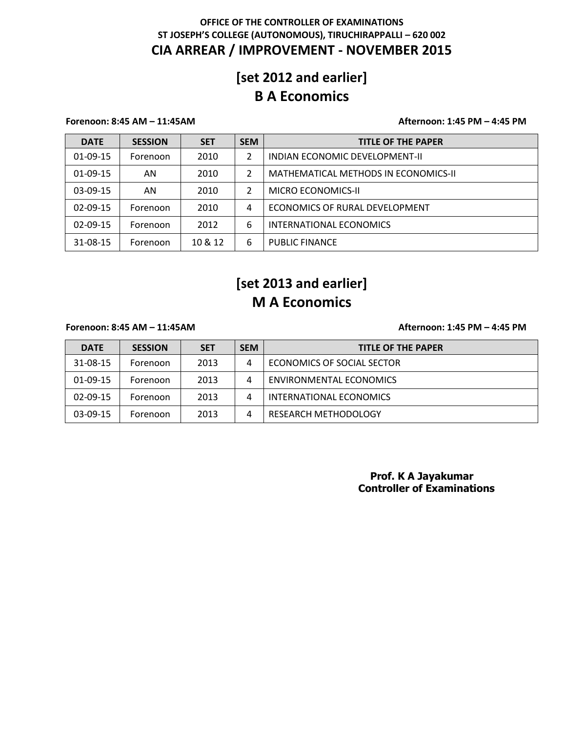## **[set 2012 and earlier] B A Economics**

### **Forenoon: 8:45 AM – 11:45AM Afternoon: 1:45 PM – 4:45 PM**

| <b>DATE</b>    | <b>SESSION</b> | <b>SET</b> | <b>SEM</b> | <b>TITLE OF THE PAPER</b>            |
|----------------|----------------|------------|------------|--------------------------------------|
| $01-09-15$     | Forenoon       | 2010       | 2          | INDIAN ECONOMIC DEVELOPMENT-II       |
| $01-09-15$     | AN             | 2010       | 2          | MATHEMATICAL METHODS IN ECONOMICS-II |
| $03-09-15$     | AN             | 2010       | 2          | <b>MICRO ECONOMICS-II</b>            |
| $02 - 09 - 15$ | Forenoon       | 2010       | 4          | ECONOMICS OF RURAL DEVELOPMENT       |
| $02 - 09 - 15$ | Forenoon       | 2012       | 6          | INTERNATIONAL ECONOMICS              |
| 31-08-15       | Forenoon       | 10 & 12    | 6          | <b>PUBLIC FINANCE</b>                |

# **[set 2013 and earlier] M A Economics**

**Forenoon: 8:45 AM – 11:45AM Afternoon: 1:45 PM – 4:45 PM**

| <b>DATE</b> | <b>SESSION</b> | <b>SET</b> | <b>SEM</b> | <b>TITLE OF THE PAPER</b>  |
|-------------|----------------|------------|------------|----------------------------|
| 31-08-15    | Forenoon       | 2013       | 4          | ECONOMICS OF SOCIAL SECTOR |
| $01-09-15$  | Forenoon       | 2013       | 4          | ENVIRONMENTAL ECONOMICS    |
| $02-09-15$  | Forenoon       | 2013       | 4          | INTERNATIONAL ECONOMICS    |
| $03-09-15$  | Forenoon       | 2013       | 4          | RESEARCH METHODOLOGY       |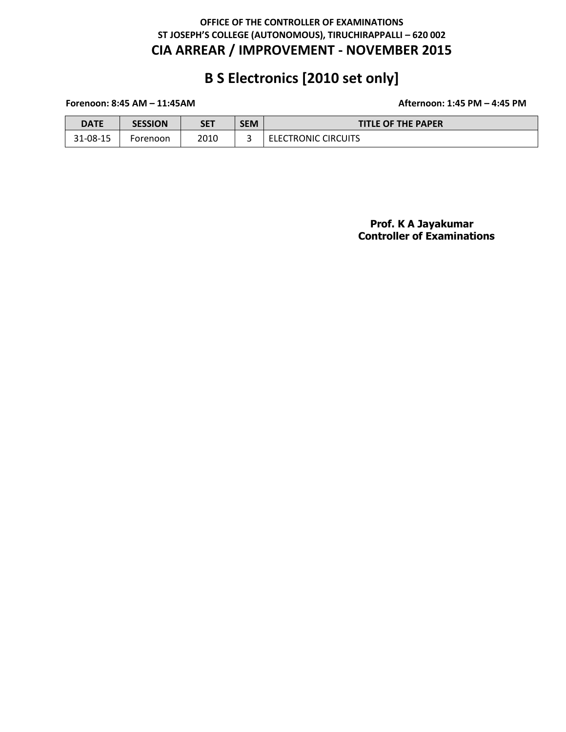# **B S Electronics [2010 set only]**

### **Forenoon: 8:45 AM – 11:45AM Afternoon: 1:45 PM – 4:45 PM**

| DATE     | <b>SESSION</b> | <b>SET</b> | <b>SEM</b> | <b>TITLE OF THE PAPER</b> |
|----------|----------------|------------|------------|---------------------------|
| 31-08-15 | Forenoon       | 2010       |            | ELECTRONIC CIRCUITS       |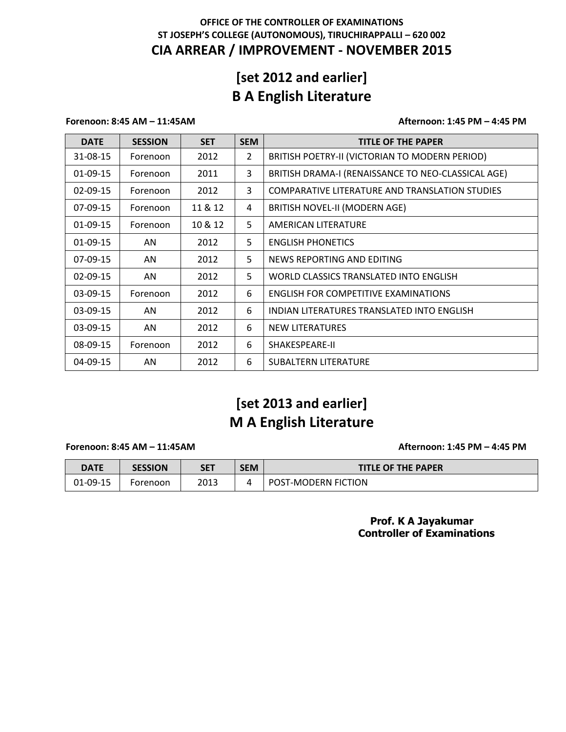# **[set 2012 and earlier] B A English Literature**

### **Forenoon: 8:45 AM – 11:45AM Afternoon: 1:45 PM – 4:45 PM**

| <b>DATE</b>    | <b>SESSION</b> | <b>SET</b> | <b>SEM</b>     | <b>TITLE OF THE PAPER</b>                          |
|----------------|----------------|------------|----------------|----------------------------------------------------|
| 31-08-15       | Forenoon       | 2012       | $\overline{2}$ | BRITISH POETRY-II (VICTORIAN TO MODERN PERIOD)     |
| 01-09-15       | Forenoon       | 2011       | 3              | BRITISH DRAMA-I (RENAISSANCE TO NEO-CLASSICAL AGE) |
| $02 - 09 - 15$ | Forenoon       | 2012       | 3              | COMPARATIVE LITERATURE AND TRANSLATION STUDIES     |
| $07-09-15$     | Forenoon       | 11 & 12    | 4              | BRITISH NOVEL-II (MODERN AGE)                      |
| 01-09-15       | Forenoon       | 10 & 12    | 5              | AMERICAN LITERATURE                                |
| 01-09-15       | AN             | 2012       | 5              | <b>ENGLISH PHONETICS</b>                           |
| 07-09-15       | AN             | 2012       | 5              | NEWS REPORTING AND EDITING                         |
| $02 - 09 - 15$ | AN             | 2012       | 5              | WORLD CLASSICS TRANSLATED INTO ENGLISH             |
| 03-09-15       | Forenoon       | 2012       | 6              | ENGLISH FOR COMPETITIVE EXAMINATIONS               |
| 03-09-15       | AN             | 2012       | 6              | INDIAN LITERATURES TRANSLATED INTO ENGLISH         |
| 03-09-15       | AN             | 2012       | 6              | <b>NEW LITERATURES</b>                             |
| 08-09-15       | Forenoon       | 2012       | 6              | SHAKESPEARE-II                                     |
| 04-09-15       | AN             | 2012       | 6              | <b>SUBALTERN LITERATURE</b>                        |

# **[set 2013 and earlier] M A English Literature**

### **Forenoon: 8:45 AM – 11:45AM Afternoon: 1:45 PM – 4:45 PM**

| <b>DATE</b> | <b>SESSION</b> | <b>SET</b> | <b>SEM</b> | <b>TITLE OF THE PAPER</b>  |
|-------------|----------------|------------|------------|----------------------------|
| 01-09-15    | Forenoon       | 2013       |            | <b>POST-MODERN FICTION</b> |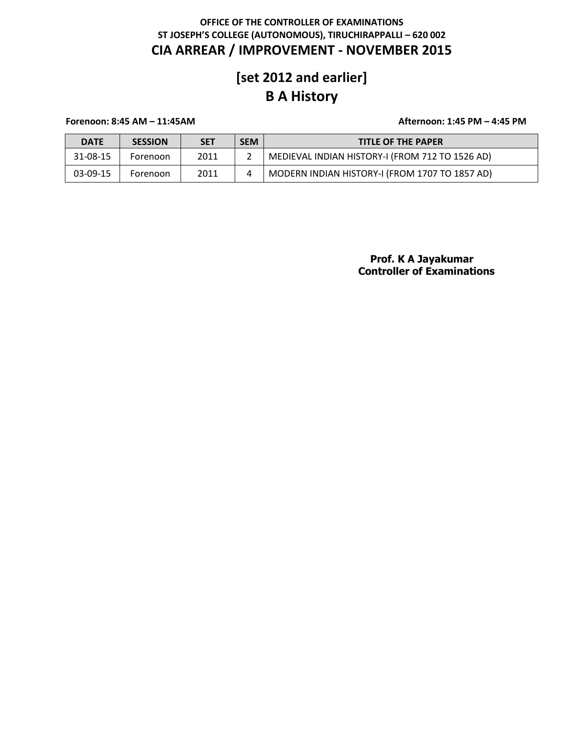# **[set 2012 and earlier] B A History**

**Forenoon: 8:45 AM – 11:45AM Afternoon: 1:45 PM – 4:45 PM**

| <b>DATE</b> | <b>SESSION</b> | <b>SET</b> | <b>SEM</b> | <b>TITLE OF THE PAPER</b>                       |
|-------------|----------------|------------|------------|-------------------------------------------------|
| 31-08-15    | Forenoon       | 2011       |            | MEDIEVAL INDIAN HISTORY-I (FROM 712 TO 1526 AD) |
| 03-09-15    | Forenoon       | 2011       |            | MODERN INDIAN HISTORY-I (FROM 1707 TO 1857 AD)  |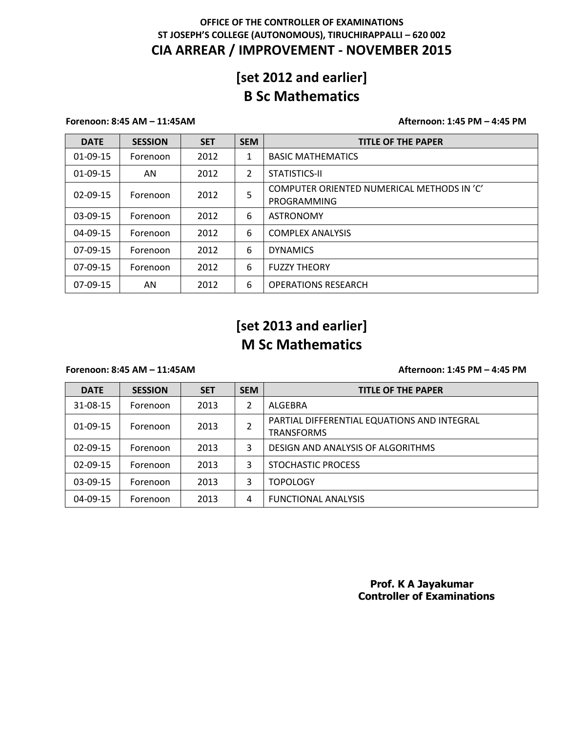# **[set 2012 and earlier] B Sc Mathematics**

### **Forenoon: 8:45 AM – 11:45AM Afternoon: 1:45 PM – 4:45 PM**

| <b>DATE</b>    | <b>SESSION</b> | <b>SET</b> | <b>SEM</b> | <b>TITLE OF THE PAPER</b>                                 |
|----------------|----------------|------------|------------|-----------------------------------------------------------|
| $01-09-15$     | Forenoon       | 2012       | 1          | <b>BASIC MATHEMATICS</b>                                  |
| $01-09-15$     | AN             | 2012       | 2          | STATISTICS-II                                             |
| $02 - 09 - 15$ | Forenoon       | 2012       | 5          | COMPUTER ORIENTED NUMERICAL METHODS IN 'C'<br>PROGRAMMING |
| 03-09-15       | Forenoon       | 2012       | 6          | <b>ASTRONOMY</b>                                          |
| $04 - 09 - 15$ | Forenoon       | 2012       | 6          | <b>COMPLEX ANALYSIS</b>                                   |
| $07-09-15$     | Forenoon       | 2012       | 6          | <b>DYNAMICS</b>                                           |
| $07-09-15$     | Forenoon       | 2012       | 6          | <b>FUZZY THEORY</b>                                       |
| 07-09-15       | AN             | 2012       | 6          | <b>OPERATIONS RESEARCH</b>                                |

## **[set 2013 and earlier] M Sc Mathematics**

### **Forenoon: 8:45 AM – 11:45AM Afternoon: 1:45 PM – 4:45 PM**

| <b>DATE</b>    | <b>SESSION</b> | <b>SET</b> | <b>SEM</b> | <b>TITLE OF THE PAPER</b>                                        |
|----------------|----------------|------------|------------|------------------------------------------------------------------|
| 31-08-15       | Forenoon       | 2013       | 2          | ALGEBRA                                                          |
| $01-09-15$     | Forenoon       | 2013       | 2          | PARTIAL DIFFERENTIAL EQUATIONS AND INTEGRAL<br><b>TRANSFORMS</b> |
| $02 - 09 - 15$ | Forenoon       | 2013       | 3          | DESIGN AND ANALYSIS OF ALGORITHMS                                |
| $02 - 09 - 15$ | Forenoon       | 2013       | 3          | STOCHASTIC PROCESS                                               |
| $03-09-15$     | Forenoon       | 2013       | 3          | <b>TOPOLOGY</b>                                                  |
| 04-09-15       | Forenoon       | 2013       | 4          | <b>FUNCTIONAL ANALYSIS</b>                                       |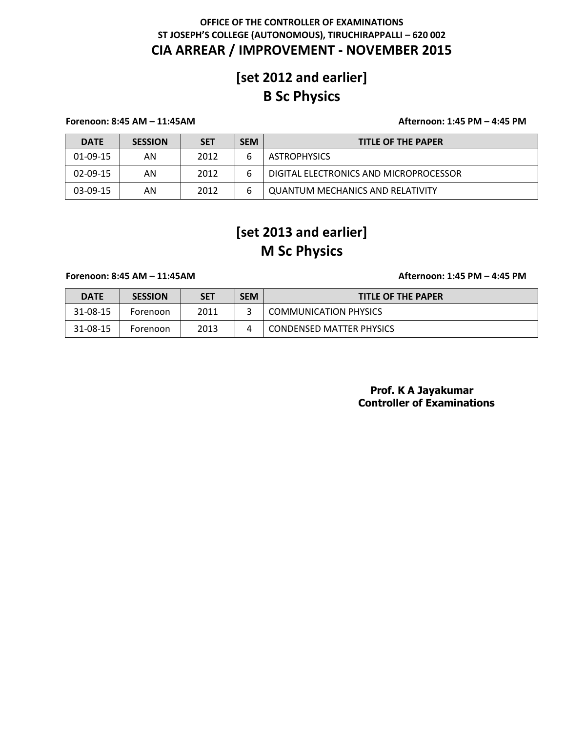# **[set 2012 and earlier] B Sc Physics**

### **Forenoon: 8:45 AM – 11:45AM Afternoon: 1:45 PM – 4:45 PM**

| <b>DATE</b> | <b>SESSION</b> | <b>SET</b> | <b>SEM</b> | <b>TITLE OF THE PAPER</b>              |
|-------------|----------------|------------|------------|----------------------------------------|
| $01-09-15$  | AN             | 2012       | 6          | <b>ASTROPHYSICS</b>                    |
| $02-09-15$  | AN             | 2012       | 6          | DIGITAL ELECTRONICS AND MICROPROCESSOR |
| $03-09-15$  | AN             | 2012       | 6          | QUANTUM MECHANICS AND RELATIVITY       |

# **[set 2013 and earlier] M Sc Physics**

### **Forenoon: 8:45 AM – 11:45AM Afternoon: 1:45 PM – 4:45 PM**

| <b>DATE</b> | <b>SESSION</b> | <b>SET</b> | <b>SEM</b> | <b>TITLE OF THE PAPER</b>       |
|-------------|----------------|------------|------------|---------------------------------|
| 31-08-15    | Forenoon       | 2011       |            | <b>COMMUNICATION PHYSICS</b>    |
| 31-08-15    | Forenoon       | 2013       |            | <b>CONDENSED MATTER PHYSICS</b> |